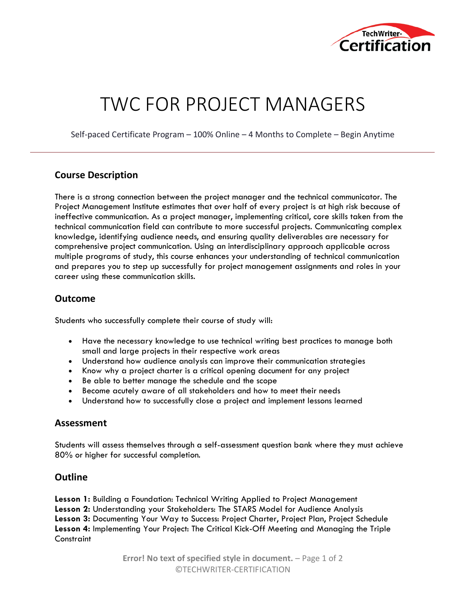

# TWC FOR PROJECT MANAGERS

Self-paced Certificate Program – 100% Online – 4 Months to Complete – Begin Anytime

# **Course Description**

There is a strong connection between the project manager and the technical communicator. The Project Management Institute estimates that over half of every project is at high risk because of ineffective communication. As a project manager, implementing critical, core skills taken from the technical communication field can contribute to more successful projects. Communicating complex knowledge, identifying audience needs, and ensuring quality deliverables are necessary for comprehensive project communication. Using an interdisciplinary approach applicable across multiple programs of study, this course enhances your understanding of technical communication and prepares you to step up successfully for project management assignments and roles in your career using these communication skills.

## **Outcome**

Students who successfully complete their course of study will:

- Have the necessary knowledge to use technical writing best practices to manage both small and large projects in their respective work areas
- Understand how audience analysis can improve their communication strategies
- Know why a project charter is a critical opening document for any project
- Be able to better manage the schedule and the scope
- Become acutely aware of all stakeholders and how to meet their needs
- Understand how to successfully close a project and implement lessons learned

### **Assessment**

Students will assess themselves through a self-assessment question bank where they must achieve 80% or higher for successful completion.

### **Outline**

**Lesson 1:** Building a Foundation: Technical Writing Applied to Project Management **Lesson 2:** Understanding your Stakeholders: The STARS Model for Audience Analysis **Lesson 3:** Documenting Your Way to Success: Project Charter, Project Plan, Project Schedule **Lesson 4:** Implementing Your Project: The Critical Kick-Off Meeting and Managing the Triple **Constraint** 

> **Error! No text of specified style in document.** – Page 1 of 2 ©TECHWRITER-CERTIFICATION